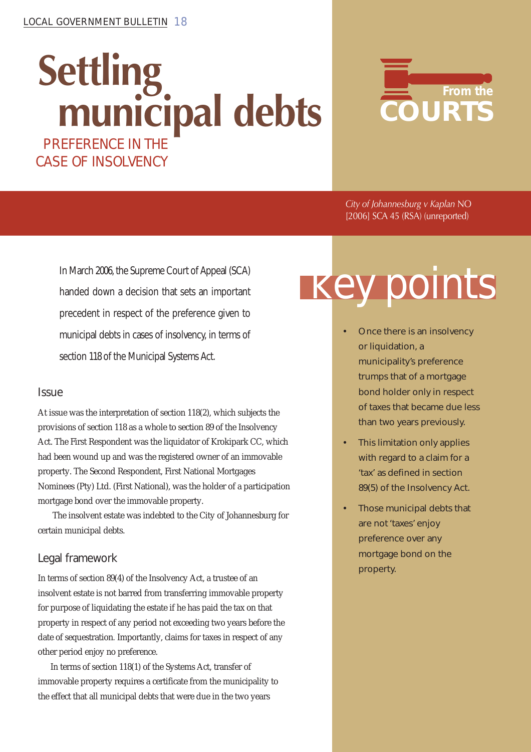# **Settling municipal debts** PREFERENCE IN THE



*City of Johannesburg v Kaplan* NO [2006] SCA 45 (RSA) (unreported)

In March 2006, the Supreme Court of Appeal (SCA) handed down a decision that sets an important precedent in respect of the preference given to municipal debts in cases of insolvency, in terms of section 118 of the Municipal Systems Act.

CASE OF INSOLVENCY

### Issue

At issue was the interpretation of section 118(2), which subjects the provisions of section 118 as a whole to section 89 of the Insolvency Act. The First Respondent was the liquidator of Krokipark CC, which had been wound up and was the registered owner of an immovable property. The Second Respondent, First National Mortgages Nominees (Pty) Ltd. (First National), was the holder of a participation mortgage bond over the immovable property.

 The insolvent estate was indebted to the City of Johannesburg for certain municipal debts.

### Legal framework

In terms of section 89(4) of the Insolvency Act, a trustee of an insolvent estate is not barred from transferring immovable property for purpose of liquidating the estate if he has paid the tax on that property in respect of any period not exceeding two years before the date of sequestration*.* Importantly, claims for taxes in respect of any other period enjoy no preference.

In terms of section 118(1) of the Systems Act, transfer of immovable property requires a certificate from the municipality to the effect that all municipal debts that were due in the two years

# **Key points**

- Once there is an insolvency or liquidation, a municipality's preference trumps that of a mortgage bond holder only in respect of taxes that became due less than two years previously.
- This limitation only applies with regard to a claim for a 'tax' as defined in section 89(5) of the Insolvency Act.
- Those municipal debts that are not 'taxes' enjoy preference over any mortgage bond on the property.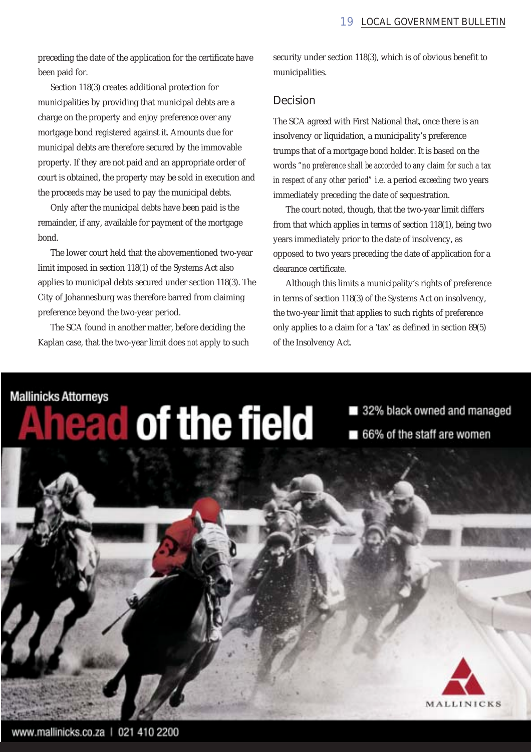preceding the date of the application for the certificate have been paid for.

Section 118(3) creates additional protection for municipalities by providing that municipal debts are a charge on the property and enjoy preference over any mortgage bond registered against it. Amounts due for municipal debts are therefore secured by the immovable property. If they are not paid and an appropriate order of court is obtained, the property may be sold in execution and the proceeds may be used to pay the municipal debts.

Only after the municipal debts have been paid is the remainder, if any, available for payment of the mortgage bond.

The lower court held that the abovementioned two-year limit imposed in section 118(1) of the Systems Act also applies to municipal debts secured under section 118(3). The City of Johannesburg was therefore barred from claiming preference beyond the two-year period.

The SCA found in another matter, before deciding the Kaplan case, that the two-year limit does *not* apply to such security under section 118(3), which is of obvious benefit to municipalities.

#### Decision

The SCA agreed with First National that, once there is an insolvency or liquidation, a municipality's preference trumps that of a mortgage bond holder. It is based on the words *"no preference shall be accorded to any claim for such a tax in respect of any other period"* i.e. a period *exceeding* two years immediately preceding the date of sequestration.

The court noted, though, that the two-year limit differs from that which applies in terms of section 118(1), being two years immediately prior to the date of insolvency, as opposed to two years preceding the date of application for a clearance certificate.

Although this limits a municipality's rights of preference in terms of section 118(3) of the Systems Act on insolvency, the two-year limit that applies to such rights of preference only applies to a claim for a 'tax' as defined in section 89(5) of the Insolvency Act.